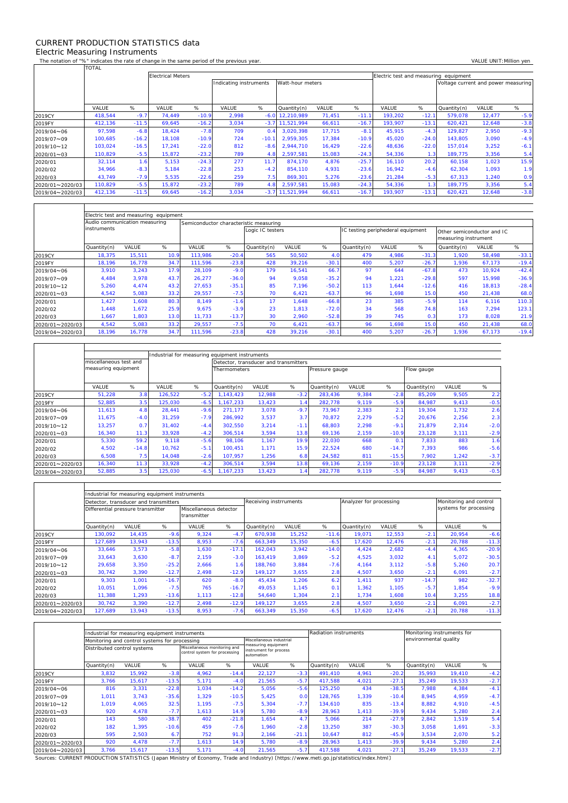## CURRENT PRODUCTION STATISTICS data Electric Measuring Instruments

 $\Gamma$ 

 $\overline{\mathsf{T}}$ 

The notation of "%" indicates the rate of change in the same period of the previous year. VALUE UNIT:Million yen<br>TOTAL TOTAL

|                 | <b>Electrical Meters</b> |         |        |         |                                            |         |             |        |         |         | Electric test and measuring equipment |                                     |        |        |  |  |
|-----------------|--------------------------|---------|--------|---------|--------------------------------------------|---------|-------------|--------|---------|---------|---------------------------------------|-------------------------------------|--------|--------|--|--|
|                 |                          |         |        |         | Watt-hour meters<br>Indicating instruments |         |             |        |         |         |                                       | Voltage current and power measuring |        |        |  |  |
|                 |                          |         |        |         |                                            |         |             |        |         |         |                                       |                                     |        |        |  |  |
|                 |                          |         |        |         |                                            |         |             |        |         |         |                                       |                                     |        |        |  |  |
|                 | VALUE                    | %       | VALUE  | %       | VALUE                                      | %       | Quantity(n) | VALUE  | %       | VALUE   | %                                     | Quantity(n)                         | VALUE  | %      |  |  |
| 2019CY          | 418.544                  | $-9.7$  | 74.449 | $-10.9$ | 2.998                                      | $-6.0$  | 12.210.989  | 71,451 | $-11.1$ | 193.202 | $-12.1$                               | 579.078                             | 12,477 | $-5.9$ |  |  |
| 2019FY          | 412,136                  | $-11.5$ | 69,645 | $-16.2$ | 3,034                                      | $-3.7$  | 11,521,994  | 66,611 | $-16.7$ | 193,907 | $-13.1$                               | 620.421                             | 12,648 | $-3.8$ |  |  |
| 2019/04~06      | 97,598                   | $-6.8$  | 18,424 | $-7.8$  | 709                                        | 0.4     | 3.020.398   | 17,715 | $-8.1$  | 45,915  | $-4.3$                                | 129,827                             | 2,950  | $-9.3$ |  |  |
| 2019/07~09      | 100,685                  | $-16.2$ | 18.108 | $-10.9$ | 724                                        | $-10.1$ | 2.959.305   | 17,384 | $-10.9$ | 45,020  | $-24.0$                               | 143,805                             | 3,090  | $-4.9$ |  |  |
| 2019/10~12      | 103.024                  | $-16.5$ | 17.241 | $-22.0$ | 812                                        | $-8.6$  | 2.944.710   | 16,429 | $-22.6$ | 48,636  | $-22.0$                               | 157.014                             | 3,252  | $-6.1$ |  |  |
| 2020/01~03      | 110,829                  | $-5.5$  | 15,872 | $-23.2$ | 789                                        | 4.8     | 2,597,581   | 15,083 | $-24.3$ | 54,336  | 1.3                                   | 189,775                             | 3,356  | 5.4    |  |  |
| 2020/01         | 32,114                   | 1.6     | 5,153  | $-24.3$ | 277                                        | 11.7    | 874.170     | 4,876  | $-25.7$ | 16,110  | 20.2                                  | 60,158                              | 1,023  | 15.9   |  |  |
| 2020/02         | 34,966                   | $-8.3$  | 5,184  | $-22.8$ | 253                                        | $-4.2$  | 854.110     | 4,931  | $-23.6$ | 16.942  | $-4.6$                                | 62,304                              | 1,093  | 1.9    |  |  |
| 2020/03         | 43,749                   | $-7.9$  | 5,535  | $-22.6$ | 259                                        | 7.5     | 869,301     | 5,276  | $-23.6$ | 21,284  | $-5.3$                                | 67,313                              | 1,240  | 0.9    |  |  |
| 2020/01~2020/03 | 110,829                  | $-5.5$  | 15,872 | $-23.2$ | 789                                        | 4.8     | 2,597,581   | 15,083 | $-24.3$ | 54,336  | 1.3                                   | 189,775                             | 3,356  | 5.4    |  |  |
| 2019/04~2020/03 | 412,136                  | $-11.5$ | 69,645 | $-16.2$ | 3,034                                      | $-3.7$  | 11.521.994  | 66,611 | $-16.7$ | 193,907 | $-13.1$                               | 620,421                             | 12,648 | $-3.8$ |  |  |

|                 | Electric test and measuring equipment |        |      |                                        |         |                  |        |         |                                   |       |         |                                                    |        |         |  |  |
|-----------------|---------------------------------------|--------|------|----------------------------------------|---------|------------------|--------|---------|-----------------------------------|-------|---------|----------------------------------------------------|--------|---------|--|--|
|                 | Audio communication measuring         |        |      | Semiconductor characteristic measuring |         |                  |        |         |                                   |       |         |                                                    |        |         |  |  |
|                 | instruments                           |        |      |                                        |         | Logic IC testers |        |         | IC testing periphederal equipment |       |         | Other semiconductor and IC<br>measuring instrument |        |         |  |  |
|                 | Quantity(n)                           | VALUE  | %    | VALUE                                  | %       | Quantity(n)      | VALUE  | %       | Quantity(n)                       | VALUE | %       | Quantity(n)                                        | VALUE  | %       |  |  |
| 2019CY          | 18,375                                | 15,511 | 10.9 | 113,986                                | $-20.4$ | 565              | 50,502 | 4.0     | 479                               | 4,986 | $-31.3$ | 1,920                                              | 58,498 | $-33.1$ |  |  |
| 2019FY          | 18,196                                | 16.778 | 34.7 | 111.596                                | $-23.8$ | 428              | 39,216 | $-30.1$ | 400                               | 5,207 | $-26.7$ | 1,936                                              | 67,173 | $-19.4$ |  |  |
| 2019/04~06      | 3.910                                 | 3.243  | 17.9 | 28,109                                 | $-9.0$  | 179              | 16.541 | 66.7    | 97                                | 644   | $-67.8$ | 473                                                | 10.924 | $-42.4$ |  |  |
| 2019/07~09      | 4,484                                 | 3.978  | 43.7 | 26,277                                 | $-36.0$ | 94               | 9.058  | $-35.2$ | 94                                | 1.221 | $-29.8$ | 597                                                | 15.998 | $-36.9$ |  |  |
| 2019/10~12      | 5.260                                 | 4.474  | 43.2 | 27.653                                 | $-35.1$ | 85               | 7.196  | $-50.2$ | 113                               | 1.644 | $-12.6$ | 416                                                | 18.813 | $-28.4$ |  |  |
| 2020/01~03      | 4,542                                 | 5.083  | 33.2 | 29.557                                 | $-7.5$  | 70               | 6.421  | $-63.7$ | 96                                | 1,698 | 15.0    | 450                                                | 21,438 | 68.0    |  |  |
| 2020/01         | 1,427                                 | 1,608  | 80.3 | 8,149                                  | $-1.6$  | 17               | 1,648  | $-66.8$ | 23                                | 385   | $-5.9$  | 114                                                | 6,116  | 110.3   |  |  |
| 2020/02         | 1,448                                 | 1,672  | 25.9 | 9,675                                  | $-3.9$  | 23               | 1,813  | $-72.0$ | 34                                | 568   | 74.8    | 163                                                | 7,294  | 123.1   |  |  |
| 2020/03         | .667                                  | 1.803  | 13.0 | 11.733                                 | $-13.7$ | 30               | 2.960  | $-52.8$ | 39                                | 745   | 0.3     | 173                                                | 8,028  | 21.9    |  |  |
| 2020/01~2020/03 | 4,542                                 | 5,083  | 33.2 | 29.557                                 | $-7.5$  | 70               | 6.421  | $-63.7$ | 96                                | 1,698 | 15.0    | 450                                                | 21,438 | 68.0    |  |  |
| 2019/04~2020/03 | 18,196                                | 16,778 | 34.7 | 111,596                                | $-23.8$ | 428              | 39,216 | $-30.1$ | 400                               | 5,207 | $-26.7$ | 1,936                                              | 67,173 | $-19.4$ |  |  |

|                 |                                               |         | Industrial for measuring equipment instruments |        |                                       |        |        |                |       |         |             |       |        |
|-----------------|-----------------------------------------------|---------|------------------------------------------------|--------|---------------------------------------|--------|--------|----------------|-------|---------|-------------|-------|--------|
|                 | miscellaneous test and<br>measuring equipment |         |                                                |        | Detector, transducer and transmitters |        |        |                |       |         |             |       |        |
|                 |                                               |         |                                                |        | Thermometers                          |        |        | Pressure gauge |       |         | Flow gauge  |       |        |
|                 | VALUE                                         | %       | VALUE                                          | %      | Quantity(n)                           | VALUE  | %      | Quantity(n)    | VALUE | %       | Quantity(n) | VALUE | %      |
| 2019CY          | 51,228                                        | 3.8     | 126,522                                        | $-5.2$ | 1,143,423                             | 12,988 | $-3.2$ | 283,436        | 9,384 | $-2.8$  | 85,209      | 9,505 | 2.2    |
| 2019FY          | 52,885                                        | 3.5     | 125,030                                        | $-6.5$ | 1.167.233                             | 13,423 | 1.4    | 282,778        | 9,119 | $-5.9$  | 84,987      | 9,413 | $-0.5$ |
| 2019/04~06      | 11.613                                        | 4.8     | 28.441                                         | $-9.6$ | 271.177                               | 3,078  | $-9.7$ | 73.967         | 2,383 | 2.1     | 19.304      | 1,732 | 2.6    |
| 2019/07~09      | 11,675                                        | $-4.0$  | 31,259                                         | $-7.9$ | 286.992                               | 3,537  | 3.7    | 70.872         | 2,279 | $-5.2$  | 20,676      | 2,256 | 2.3    |
| 2019/10~12      | 13,257                                        | 0.7     | 31.402                                         | $-4.4$ | 302,550                               | 3,214  | $-1.1$ | 68,803         | 2,298 | $-9.1$  | 21,879      | 2,314 | $-2.0$ |
| 2020/01~03      | 16,340                                        | 11.3    | 33,928                                         | $-4.2$ | 306,514                               | 3,594  | 13.8   | 69,136         | 2,159 | $-10.9$ | 23,128      | 3,111 | $-2.9$ |
| 2020/01         | 5,330                                         | 59.2    | 9.118                                          | $-5.6$ | 98.106                                | 1.167  | 19.9   | 22.030         | 668   | 0.1     | 7.833       | 883   | 1.6    |
| 2020/02         | 4,502                                         | $-14.8$ | 10,762                                         | $-5.7$ | 100.451                               | 1,171  | 15.9   | 22,524         | 680   | $-14.7$ | 7,393       | 986   | $-5.6$ |
| 2020/03         | 6,508                                         | 7.5     | 14,048                                         | $-2.6$ | 107.957                               | 1,256  | 6.8    | 24,582         | 811   | $-15.5$ | 7,902       | 1,242 | $-3.7$ |
| 2020/01~2020/03 | 16,340                                        | 11.3    | 33,928                                         | $-4.2$ | 306,514                               | 3,594  | 13.8   | 69,136         | 2,159 | $-10.9$ | 23,128      | 3,111 | $-2.9$ |
| 2019/04~2020/03 | 52,885                                        | 3.5     | 125,030                                        | $-6.5$ | 1,167,233                             | 13,423 |        | 282,778        | 9,119 | $-5.9$  | 84,987      | 9,413 | $-0.5$ |

|                 | Industrial for measuring equipment instruments |        |         |                                       |                        |             |        |                         |                        |        |                        |        |         |  |  |
|-----------------|------------------------------------------------|--------|---------|---------------------------------------|------------------------|-------------|--------|-------------------------|------------------------|--------|------------------------|--------|---------|--|--|
|                 | Detector, transducer and transmitters          |        |         |                                       | Receiving instrruments |             |        | Analyzer for processing | Monitoring and control |        |                        |        |         |  |  |
|                 | Differential pressure transmitter              |        |         | Miscellaneous detector<br>transmitter |                        |             |        |                         |                        |        | systems for processing |        |         |  |  |
|                 | Quantity(n)                                    | VALUE  | %       | VALUE                                 | %                      | Quantity(n) | VALUE  | %                       | Quantity(n)            | VALUE  | %                      | VALUE  | %       |  |  |
| 2019CY          | 130.092                                        | 14,435 | $-9.6$  | 9,324                                 | $-4.7$                 | 670.938     | 15,252 | $-11.6$                 | 19.071                 | 12.553 | $-2.1$                 | 20,954 | $-6.6$  |  |  |
| 2019FY          | 127.689                                        | 13,943 | $-13.5$ | 8,953                                 | $-7.6$                 | 663.349     | 15,350 | $-6.5$                  | 17,620                 | 12,476 | $-2.1$                 | 20.788 | $-11.3$ |  |  |
| 2019/04~06      | 33,646                                         | 3,573  | $-5.8$  | 1,630                                 | $-17.1$                | 162.043     | 3,942  | $-14.0$                 | 4,424                  | 2,682  | $-4.4$                 | 4,365  | $-20.9$ |  |  |
| 2019/07~09      | 33,643                                         | 3,630  | $-8.7$  | 2.159                                 | $-3.0$                 | 163.419     | 3,869  | $-5.2$                  | 4,525                  | 3,032  | 4.1                    | 5,072  | $-30.5$ |  |  |
| 2019/10~12      | 29,658                                         | 3,350  | $-25.2$ | 2,666                                 | 1.6                    | 188.760     | 3,884  | $-7.6$                  | 4,164                  | 3,112  | $-5.8$                 | 5,260  | 20.7    |  |  |
| 2020/01~03      | 30,742                                         | 3,390  | $-12.7$ | 2,498                                 | $-12.9$                | 149.127     | 3,655  | 2.8                     | 4,507                  | 3,650  | $-2.1$                 | 6,091  | $-2.7$  |  |  |
| 2020/01         | 9,303                                          | 1,001  | $-16.7$ | 620                                   | $-8.0$                 | 45,434      | 1,206  | 6.2                     | 1.411                  | 937    | $-14.7$                | 982    | $-32.7$ |  |  |
| 2020/02         | 10,051                                         | 1,096  | $-7.5$  | 765                                   | $-16.7$                | 49,053      | 1,145  | 0.1                     | 1,362                  | 1,105  | $-5.7$                 | 1,854  | $-9.9$  |  |  |
| 2020/03         | 11,388                                         | 1,293  | $-13.6$ | 1,113                                 | $-12.8$                | 54,640      | 1,304  | 2.1                     | 1.734                  | 1,608  | 10.4                   | 3,255  | 18.8    |  |  |
| 2020/01~2020/03 | 30,742                                         | 3,390  | $-12.7$ | 2,498                                 | $-12.9$                | 149,127     | 3,655  | 2.8                     | 4,507                  | 3,650  | $-2.1$                 | 6,091  | $-2.7$  |  |  |
| 2019/04~2020/03 | 127,689                                        | 13,943 | $-13.5$ | 8,953                                 | $-7.6$                 | 663,349     | 15,350 | $-6.5$                  | 17,620                 | 12,476 | $-2.1$                 | 20,788 | $-11.3$ |  |  |

|                 |                             | Industrial for measuring equipment instruments |         |                                                               |         | <b>Radiation instruments</b>                                |         |             | Monitoring instruments for |         |                       |        |        |  |
|-----------------|-----------------------------|------------------------------------------------|---------|---------------------------------------------------------------|---------|-------------------------------------------------------------|---------|-------------|----------------------------|---------|-----------------------|--------|--------|--|
|                 |                             | Monitoring and control systems for processing  |         |                                                               |         | Miscellaneous industrial                                    |         |             |                            |         | environmental quality |        |        |  |
|                 | Distributed control systems |                                                |         | Miscellaneous monitoring and<br>control system for processing |         | measuring equipment<br>instrument for process<br>automation |         |             |                            |         |                       |        |        |  |
|                 | Quantity(n)                 | VALUE                                          | %       | VALUE                                                         | %       | VALUE                                                       | %       | Quantity(n) | VALUE                      | %       | Quantity(n)           | VALUE  | %      |  |
| 2019CY          | 3,832                       | 15,992                                         | $-3.8$  | 4,962                                                         | $-14.4$ | 22,127                                                      | $-3.3$  | 491,410     | 4,961                      | $-20.2$ | 35,993                | 19,410 | $-4.2$ |  |
| 2019FY          | 3.766                       | 15.617                                         | $-13.5$ | 5,171                                                         | $-4.0$  | 21,565                                                      | $-5.7$  | 417.588     | 4,021                      | $-27.1$ | 35,249                | 19.533 | $-2.7$ |  |
| 2019/04~06      | 816                         | 3,331                                          | $-22.8$ | 1.034                                                         | $-14.2$ | 5.056                                                       | $-5.6$  | 125.250     | 434                        | $-38.5$ | 7.988                 | 4.384  | $-4.1$ |  |
| 2019/07~09      | 1.011                       | 3.743                                          | $-35.6$ | 1.329                                                         | $-10.5$ | 5,425                                                       | 0.0     | 128.765     | 1,339                      | $-10.4$ | 8.945                 | 4,959  | $-4.7$ |  |
| 2019/10~12      | 1,019                       | 4,065                                          | 32.5    | 1.195                                                         | $-7.5$  | 5,304                                                       | $-7.7$  | 134,610     | 835                        | $-13.4$ | 8,882                 | 4,910  | $-4.5$ |  |
| 2020/01~03      | 920                         | 4,478                                          | $-7.7$  | 1,613                                                         | 14.9    | 5,780                                                       | $-8.9$  | 28,963      | 1,413                      | $-39.9$ | 9,434                 | 5,280  | 2.4    |  |
| 2020/01         | 143                         | 580                                            | $-38.7$ | 402                                                           | $-21.8$ | 1,654                                                       | 4.7     | 5,066       | 214                        | $-27.9$ | 2,842                 | 1,519  | 5.4    |  |
| 2020/02         | 182                         | 1.395                                          | $-10.6$ | 459                                                           | $-7.6$  | 1,960                                                       | $-2.8$  | 13,250      | 387                        | $-30.3$ | 3,058                 | 1,691  | $-3.3$ |  |
| 2020/03         | 595                         | 2,503                                          | 6.7     | 752                                                           | 91.3    | 2,166                                                       | $-21.1$ | 10,647      | 812                        | $-45.9$ | 3,534                 | 2,070  | 5.2    |  |
| 2020/01~2020/03 | 920                         | 4,478                                          | $-7.7$  | 1,613                                                         | 14.9    | 5,780                                                       | $-8.9$  | 28,963      | 1,413                      | $-39.9$ | 9,434                 | 5,280  | 2.4    |  |
| 2019/04~2020/03 | 3.766                       | 15,617                                         | $-13.5$ | 5,171                                                         | $-4.0$  | 21,565                                                      | $-5.7$  | 417.588     | 4,021                      | $-27.1$ | 35,249                | 19,533 | $-2.7$ |  |

Sources: CURRENT PRODUCTION STATISTICS (Japan Ministry of Economy, Trade and Industry) 〔https://www.meti.go.jp/statistics/index.html〕